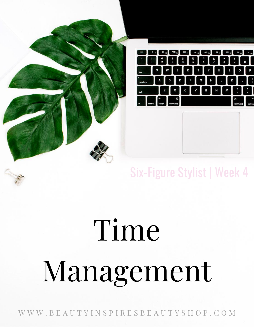

## Six-Figure Stylist | Week 4

# Time Management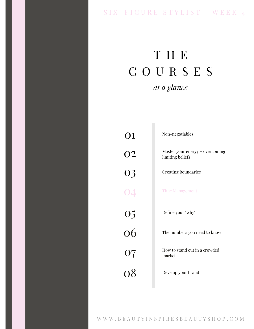### SIX - FIGURE STYLIST | WEEK 4

## T H E C O U R S E S *at a glance*

| 01              | Non-negotiables                                     |
|-----------------|-----------------------------------------------------|
| <b>O2</b>       | Master your energy + overcoming<br>limiting beliefs |
| 03              | <b>Creating Boundaries</b>                          |
| $\overline{04}$ | <b>Time Management</b>                              |
|                 | Define your "why"                                   |
| $\frac{05}{06}$ | The numbers you need to know                        |
| 07              | How to stand out in a crowded<br>market             |
| 08              | Develop your brand                                  |
|                 |                                                     |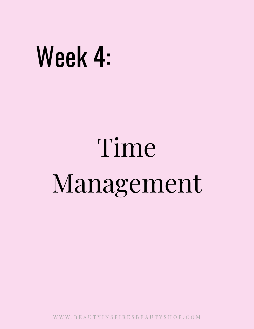## Week 4:

# Time Management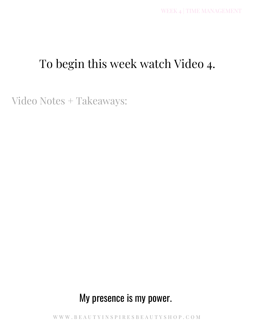### To begin this week watch Video 4.

Video Notes + Takeaways:

### My presence is my power.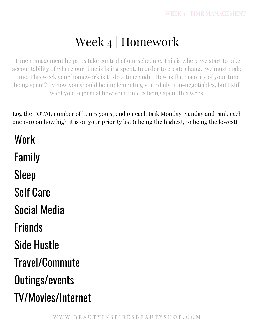## Week 4 | Homework

Time management helps us take control of our schedule. This is where we start to take accountability of where our time is being spent. In order to create change we must make time. This week your homework is to do a time audit! How is the majority of your time being spent? By now you should be implementing your daily non-negotiables, but I still want you to journal how your time is being spent this week.

Log the TOTAL number of hours you spend on each task Monday-Sunday and rank each one 1-10 on how high it is on your priority list (1 being the highest, 10 being the lowest)

Work Family Sleep Self Care Social Media Friends Side Hustle Travel/Commute Outings/events TV/Movies/Internet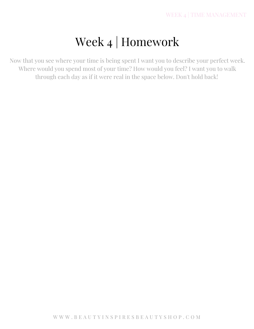## Week 4 | Homework

Now that you see where your time is being spent I want you to describe your perfect week. Where would you spend most of your time? How would you feel? I want you to walk through each day as if it were real in the space below. Don't hold back!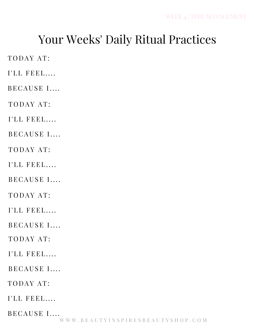## Your Weeks' Daily Ritual Practices

TODAY AT:

I'LL FEEL....

BECAUSE I....

TODAY AT:

I'LL FEEL....

BECAUSE I....

TODAY AT:

I'LL FEEL....

BECAUSE I....

TODAY AT:

 $I'LL$  FEEL....

BECAUSE I....

TODAY AT:

 $I'LL$  FEEL....

BECAUSE I....

TODAY AT:

I'LL FEEL....

BECAUSE I....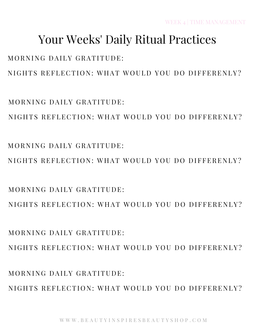MORNING DAILY GRATITUDE: NIGHTS REFLECTION: WHAT WOULD YOU DO DIFFERENLY?

 $M$  O R N I N G D A I L Y G R A T I T U D E  $\cdot$ NIGHTS REFLECTION: WHAT WOULD YOU DO DIFFERENLY?

MORNING DAILY GRATITUDE: NIGHTS REFLECTION: WHAT WOULD YOU DO DIFFERENLY?

 $MORNING$  DAILY GRATITUDE. NIGHTS REFLECTION: WHAT WOULD YOU DO DIFFERENLY?

NIGHTS REFLECTION: WHAT WOULD YOU DO DIFFERENLY?

NIGHTS REFLECTION: WHAT WOULD YOU DO DIFFERENLY?

WEEK 4 | TIME MANAGEMENT

## Your Weeks' Daily Ritual Practices

MORNING DAILY GRATITUDE:

MORNING DAILY GRATITUDE: